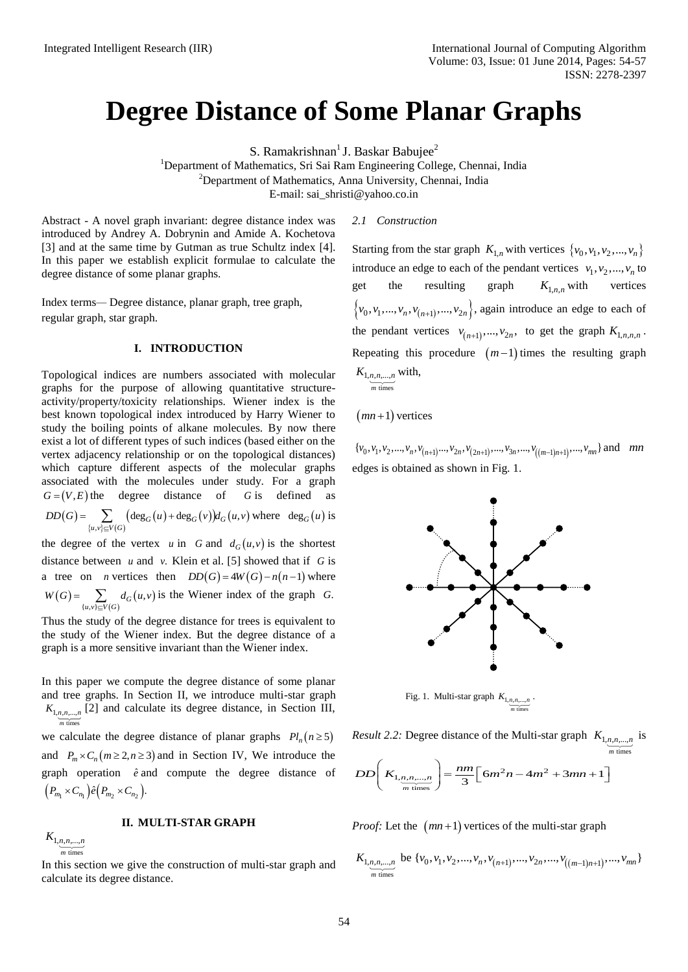# **Degree Distance of Some Planar Graphs**

S. Ramakrishnan<sup>1</sup> J. Baskar Babujee<sup>2</sup>

<sup>1</sup>Department of Mathematics, Sri Sai Ram Engineering College, Chennai, India <sup>2</sup>Department of Mathematics, Anna University, Chennai, India

E-mail[: sai\\_shristi@yahoo.co.in](mailto:sai_shristi@yahoo.co.in)

Abstract - A novel graph invariant: degree distance index was introduced by Andrey A. Dobrynin and Amide A. Kochetova [3] and at the same time by Gutman as true Schultz index [4]. In this paper we establish explicit formulae to calculate the degree distance of some planar graphs.

Index terms*—* Degree distance, planar graph, tree graph, regular graph, star graph.

## **I. INTRODUCTION**

Topological indices are numbers associated with molecular graphs for the purpose of allowing quantitative structureactivity/property/toxicity relationships. Wiener index is the best known topological index introduced by Harry Wiener to study the boiling points of alkane molecules. By now there exist a lot of different types of such indices (based either on the vertex adjacency relationship or on the topological distances) which capture different aspects of the molecular graphs associated with the molecules under study. For a graph  $G = (V, E)$  the degree distance of G is defined as  $(G) = \sum$   $(\deg_G(u) + \deg_G(v))d_G(u,v)$  where  $\deg_G(u)$  is the degree of the vertex u in G and  $d_G(u, v)$  is the shortest  ${u,v}\subseteq V(G)$  $(u,v)$  $\sum_{(u,v)\in V(G)} (\deg_G(u) + \deg_G(v))d_G(u,$  $DD(G) = \sum_{\{u,v\} \subset V(G)} (\deg_G(u) + \deg_G(v))d_G(u,v)$  where  $\deg_G(u)$ *K*) and a the same from by Guaranta is the Schule these [4]. Staring from the same from by Contact a contact  $K_{\text{total}}$ ,  $\sum_{i=1}^{n} (k_i, k_i)$ ,  $\sum_{i=1}^{n} (k_i, k_i)$ ,  $\sum_{i=1}^{n} (k_i, k_i)$ ,  $\sum_{i=1}^{n} (k_i, k_i)$ ,  $\sum_{i=1}^{n} (k_i, k$ 

distance between  $u$  and  $v$ . Klein et al. [5] showed that if  $G$  is a tree on *n* vertices then  $DD(G) = 4W(G) - n(n-1)$  where  $(G) = \sum_{i} d_G(u,v)$  is the Wiener index of the graph  $\sum_{\{u,v\} \subseteq V(G)} d_G(u,$  $W(G) = \sum d_G(u,v)$  $=\sum_{\{u,v\}\subseteq V(G)} d_G(u,v)$  is the Wiener index of the graph G.

Thus the study of the degree distance for trees is equivalent to the study of the Wiener index. But the degree distance of a graph is a more sensitive invariant than the Wiener index.

In this paper we compute the degree distance of some planar and tree graphs. In Section II, we introduce multi-star graph  $K_{1,n,n,\dots,n}$  [2] and calculate its degree distance, in Section III, we calculate the degree distance of planar graphs  $Pl_n(n \ge 5)$ and  $P_m \times C_n (m \ge 2, n \ge 3)$  and in Section IV, We introduce the graph operation  $\hat{e}$  and compute the degree distance of times *m*  $\left(P_{m_1}\times C_{n_1}\right)\hat{e}\left(P_{m_2}\times C_{n_2}\right).$ 

**II. MULTI-STAR GRAPH**

 times  $K_{1, n, n, \ldots, n}$ *m*

In this section we give the construction of multi-star graph and calculate its degree distance.

#### *2.1 Construction*

Starting from the star graph  $K_{1,n}$  with vertices  $\{v_0, v_1, v_2, ..., v_n\}$ introduce an edge to each of the pendant vertices  $v_1, v_2, ..., v_n$  to get the resulting graph  $K_{1,n,n}$  with vertices  $\{v_0, v_1, \ldots, v_n, v_{n+1}, \ldots, v_{2n}\}\$ , again introduce an edge to each of the pendant vertices  $v_{(n+1)},..., v_{2n}$ , to get the graph  $K_{1,n,n,n}$ . Repeating this procedure  $(m-1)$  times the resulting graph  $K_{1,n,n,\dots,n}$  with, m times

 $(mn+1)$  vertices

 $\{v_0, v_1, v_2, ..., v_n, v_{(n+1)}..., v_{2n}, v_{(2n+1)}, ..., v_{3n}, ..., v_{((m-1)n+1)}, ..., v_{mn}\}$  and *mn* edges is obtained as shown in Fig. 1.



Fig. 1. Multi-star graph  $K_{1,n,n,\dots,n}$ . times *m*

*Result 2.2:* Degree distance of the Multi-star graph  $K_{1,n,n,\dots,n}$  is times *m* times  $DD\left(K_{1,n,n,...,n}\right) = \frac{nm}{3}\left[6m^2n - 4m^2 + 3mn + 1\right]$  $\left(K_{1,n,n,...,n}\right) = \frac{nm}{3} \left[6m^2n - 4m^2 + 3mn + 1\right]$ 

*Proof:* Let the  $(mn+1)$  vertices of the multi-star graph

be times  $1, n, n, \ldots,$  $K_{1, n, n, \dots, n \atop m \text{ times}}$  be  $\{v_0, v_1, v_2, \dots, v_n, v_{(n+1)}, \dots, v_{2n}, \dots, v_{((m-1)n+1)}, \dots, v_{mn}\}$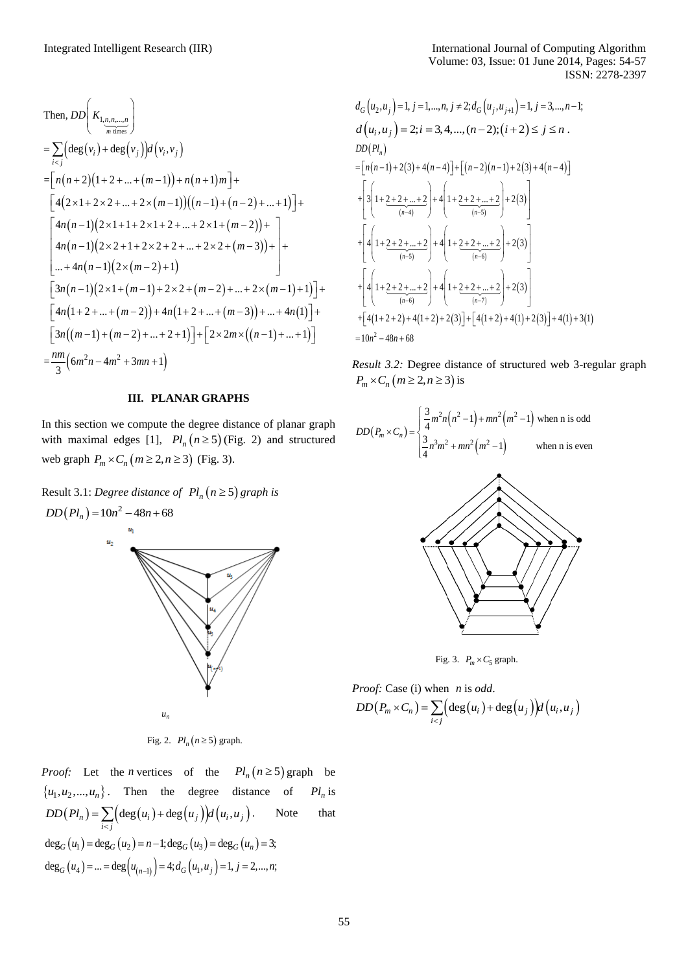Then, 
$$
DD\left(K_{1,n,n,...,n}\right)
$$
  
\n
$$
= \sum_{i\n
$$
= \left[n(n+2)(1+2+...+(m-1))+n(n+1)m\right] +
$$
\n
$$
\left[4(2 \times 1 + 2 \times 2 + ... + 2 \times (m-1))((n-1) + (n-2) + ... + 1)\right] +
$$
\n
$$
\left[4n(n-1)(2 \times 1 + 1 + 2 \times 1 + 2 + ... + 2 \times 1 + (m-2)) +
$$
\n
$$
4n(n-1)(2 \times 2 + 1 + 2 \times 2 + 2 + ... + 2 \times 2 + (m-3)) +
$$
\n
$$
... + 4n(n-1)(2 \times (m-2) + 1)
$$
\n
$$
\left[3n(n-1)(2 \times 1 + (m-1) + 2 \times 2 + (m-2) + ... + 2 \times (m-1) + 1)\right] +
$$
\n
$$
\left[4n(1+2+...+(m-2)) + 4n(1+2+...+(m-3)) + ... + 4n(1)\right] +
$$
\n
$$
\left[3n((m-1)+(m-2)+...+2+1)\right] + \left[2 \times 2m \times ((n-1)+...+1)\right]
$$
\n
$$
= \frac{nm}{3}(6m^2n - 4m^2 + 3mn + 1)
$$
$$

### **III. PLANAR GRAPHS**

In this section we compute the degree distance of planar graph with maximal edges [1],  $Pl_n (n \ge 5)$  (Fig. 2) and structured web graph  $P_m \times C_n \left( m \geq 2, n \geq 3 \right)$  (Fig. 3).

Result 3.1: *Degree distance of*  $Pl_n(n \geq 5)$  *graph is* 

 $DD(Pl_n) = 10n^2 - 48n + 68$  $u<sub>2</sub>$ *n u*

Fig. 2.  $Pl_n(n \geq 5)$  graph.

*Proof:* Let the *n* vertices of the  $Pl_n(n \ge 5)$  graph be  $\{u_1, u_2, ..., u_n\}$ . Then the degree distance of  $Pl_n$  is  $(Pl_n) = \sum (\deg(u_i) + \deg(u_j))d(u_i, u_j).$  Note that  $\frac{\sum_{i \leq j}}{i}$  $DD(Pl_n) = \sum_{i \le j} \left( \deg(u_i) + \deg(u_j) \right) d(u_i, u)$  $\deg_G(u_1) = \deg_G(u_2) = n - 1; \deg_G(u_3) = \deg_G(u_n) = 3;$  $\deg_G(u_4) = ... = \deg(u_{(n-1)}) = 4; d_G(u_1, u_j) = 1, j = 2, ..., n;$ 

$$
d_G(u_2, u_j) = 1, j = 1, ..., n, j \neq 2; d_G(u_j, u_{j+1}) = 1, j = 3, ..., n-1;
$$
  
\n
$$
d(u_i, u_j) = 2; i = 3, 4, ..., (n-2); (i+2) \le j \le n.
$$
  
\n
$$
DD(PI_n)
$$
  
\n
$$
= [n(n-1) + 2(3) + 4(n-4)] + [(n-2)(n-1) + 2(3) + 4(n-4)]
$$
  
\n
$$
+ \left[3\left(1 + \underbrace{2 + 2 + ... + 2}_{(n-4)}\right) + 4\left(1 + \underbrace{2 + 2 + ... + 2}_{(n-5)}\right) + 2(3)\right]
$$
  
\n
$$
+ \left[4\left(1 + \underbrace{2 + 2 + ... + 2}_{(n-5)}\right) + 4\left(1 + \underbrace{2 + 2 + ... + 2}_{(n-6)}\right) + 2(3)\right]
$$
  
\n
$$
+ \left[4\left(1 + \underbrace{2 + 2 + ... + 2}_{(n-6)}\right) + 4\left(1 + \underbrace{2 + 2 + ... + 2}_{(n-7)}\right) + 2(3)\right]
$$
  
\n
$$
+ \left[4(1 + 2 + 2) + 4(1 + 2) + 2(3)\right] + \left[4(1 + 2) + 4(1) + 2(3)\right] + 4(1) + 3(1)
$$
  
\n
$$
= 10n^2 - 48n + 68
$$

*Result 3.2:* Degree distance of structured web 3-regular graph  $P_m \times C_n \left( m \geq 2, n \geq 3 \right)$  is

$$
DD(P_m \times C_n) = \begin{cases} \frac{3}{4}m^2n(n^2 - 1) + mn^2(m^2 - 1) \text{ when n is odd} \\ \frac{3}{4}n^3m^2 + mn^2(m^2 - 1) \text{ when n is even} \end{cases}
$$



Fig. 3.  $P_m \times C_5$  graph.

*Proof:* Case (i) when *n* is odd.  
DD
$$
(P_m \times C_n)
$$
 =  $\sum_{i < j} (deg(u_i) + deg(u_j))d(u_i, u_j)$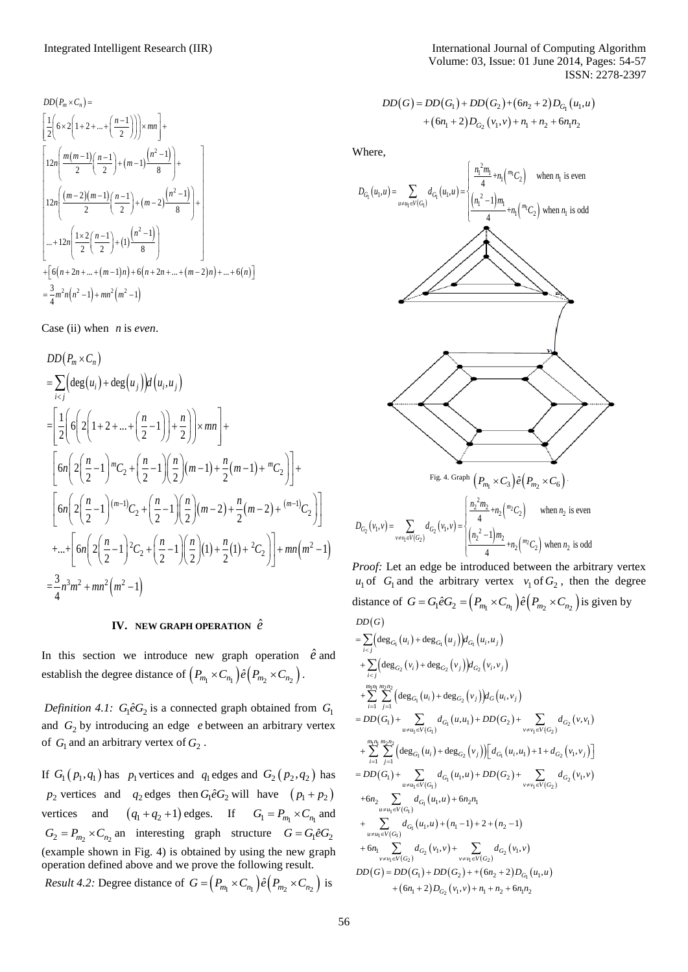$$
DD(P_m \times C_n) =
$$
\n
$$
\left[ \frac{1}{2} \left( 6 \times 2 \left( 1 + 2 + ... + \left( \frac{n-1}{2} \right) \right) \right) \times mn \right] +
$$
\n
$$
\left[ 12n \left( \frac{m(m-1)}{2} \left( \frac{n-1}{2} \right) + (m-1) \frac{\left( n^2 - 1 \right)}{8} \right) + \right]
$$
\n
$$
12n \left( \frac{(m-2)(m-1)}{2} \left( \frac{n-1}{2} \right) + (m-2) \frac{\left( n^2 - 1 \right)}{8} \right) + \right]
$$
\n
$$
... + 12n \left( \frac{1 \times 2}{2} \left( \frac{n-1}{2} \right) + (1) \frac{\left( n^2 - 1 \right)}{8} \right)
$$
\n
$$
+ \left[ 6(n+2n+...+(m-1)n) + 6(n+2n+...+(m-2)n) + ... + 6(n) \right]
$$
\n
$$
= \frac{3}{4} m^2 n(n^2 - 1) + mn^2 (m^2 - 1)
$$

Case (ii) when  $n$  is *even*.

$$
DD(P_m \times C_n)
$$
  
=  $\sum_{i < j} \left( \deg(u_i) + \deg(u_j) \right) d(u_i, u_j)$   
=  $\left[ \frac{1}{2} \left( 6 \left( 2 \left( 1 + 2 + ... + \left( \frac{n}{2} - 1 \right) \right) + \frac{n}{2} \right) \right) \times mn \right] +$   
 $\left[ 6n \left( 2 \left( \frac{n}{2} - 1 \right)^m C_2 + \left( \frac{n}{2} - 1 \right) \left( \frac{n}{2} \right) (m - 1) + \frac{n}{2} (m - 1) + \frac{n}{2} C_2 \right) \right] +$   
 $\left[ 6n \left( 2 \left( \frac{n}{2} - 1 \right)^{(m-1)} C_2 + \left( \frac{n}{2} - 1 \right) \left( \frac{n}{2} \right) (m - 2) + \frac{n}{2} (m - 2) + \frac{(m - 1)}{2} C_2 \right) \right]$   
+ ...+  $\left[ 6n \left( 2 \left( \frac{n}{2} - 1 \right)^2 C_2 + \left( \frac{n}{2} - 1 \right) \left( \frac{n}{2} \right) (1) + \frac{n}{2} (1) + \frac{n}{2} C_2 \right) \right] + mn(m^2 - 1)$   
=  $\frac{3}{4} n^3 m^2 + mn^2 (m^2 - 1)$ 

## **IV.** NEW GRAPH OPERATION  $\hat{e}$

In this section we introduce new graph operation  $\hat{e}$  and establish the degree distance of  $(P_{m_1} \times C_{n_1}) \hat{e}(P_{m_2} \times C_{n_2})$ .

*Definition 4.1:*  $G_1 \hat{e} G_2$  is a connected graph obtained from  $G_1$ and  $G_2$  by introducing an edge *e* between an arbitrary vertex of  $G_1$  and an arbitrary vertex of  $G_2$ .

If  $G_1(p_1, q_1)$  has  $p_1$  vertices and  $q_1$  edges and  $G_2(p_2, q_2)$  has  $p_2$  vertices and  $q_2$  edges then  $G_1 \hat{e} G_2$  will have  $(p_1 + p_2)$ vertices and  $(q_1 + q_2 + 1)$  edges. If  $G_1 = P_{m_1} \times C_{n_1}$  and  $G_2 = P_{m_2} \times C_{n_2}$  an interesting graph structure  $G = G_1 \hat{e} G_2$ (example shown in Fig. 4) is obtained by using the new graph operation defined above and we prove the following result. *Result 4.2:* Degree distance of  $G = (P_{m_1} \times C_{n_1}) \hat{e}(P_{m_2} \times C_{n_2})$  is

$$
DD(G) = DD(G1) + DD(G2) + (6n2 + 2)DG1(u1, u)+ (6n1 + 2)DG2(v1, v) + n1 + n2 + 6n1n2
$$

Where,



*Proof:* Let an edge be introduced between the arbitrary vertex  $u_1$  of  $G_1$  and the arbitrary vertex  $v_1$  of  $G_2$ , then the degree distance of  $G = G_1 \hat{e} G_2 = (P_{m_1} \times C_{n_1}) \hat{e} (P_{m_2} \times C_{n_2})$  is given by  $DD(G)$  $G$ )<br>deg $_{G_1}(u_i)$  + deg $_{G_1}(u_j)$ ) $d_{G_1}(u_i)$  $u_i$ ) + deg<sub>*G*1</sub>  $(u_j)$ ) $d_{G_1}(u_i, u_j)$  $DD(G)$ <br>=  $\sum$   $\left(\deg_{G_1}(u_i) + \deg_{G_1}\right)$ 

$$
= \sum_{i < j} \left( \deg_{G_1}(u_i) + \deg_{G_1}(u_j) \right) d_{G_1}(u_i, u_j)
$$
\n
$$
+ \sum_{i < j} \left( \deg_{G_2}(v_i) + \deg_{G_2}(v_j) \right) d_{G_2}(v_i, v_j)
$$
\n
$$
+ \sum_{i < j} \left( \deg_{G_2}(v_i) + \deg_{G_2}(v_j) \right) d_G(u_i, v_j)
$$
\n
$$
= DD(G_1) + \sum_{u \neq u_1 \in V(G_1)} d_{G_1}(u, u_1) + DD(G_2) + \sum_{v \neq v_1 \in V(G_2)} d_{G_2}(v, v_1)
$$
\n
$$
+ \sum_{i=1}^{m_1 n_1} \sum_{j=1}^{m_2 n_2} \left( \deg_{G_1}(u_i) + \deg_{G_2}(v_j) \right) \left[ d_{G_1}(u_i, u_1) + 1 + d_{G_2}(v_1, v_j) \right]
$$
\n
$$
= DD(G_1) + \sum_{u \neq u_1 \in V(G_1)} d_{G_1}(u_1, u) + DD(G_2) + \sum_{v \neq v_1 \in V(G_2)} d_{G_2}(v_1, v)
$$
\n
$$
+ 6n_2 \sum_{u \neq u_1 \in V(G_1)} d_{G_1}(u_1, u) + 6n_2 n_1
$$
\n
$$
+ \sum_{u \neq u_1 \in V(G_1)} d_{G_1}(u_1, u) + (n_1 - 1) + 2 + (n_2 - 1)
$$
\n
$$
+ 6n_1 \sum_{v \neq v_1 \in V(G_2)} d_{G_2}(v_1, v) + \sum_{v \neq v_1 \in V(G_2)} d_{G_2}(v_1, v)
$$
\n
$$
DD(G) = DD(G_1) + DD(G_2) + (6n_2 + 2) D_{G_1}(u_1, u)
$$
\n
$$
+ (6n_1 + 2) D_{G_2}(v_1, v) + n_1 + n_2 + 6n_1 n_2
$$